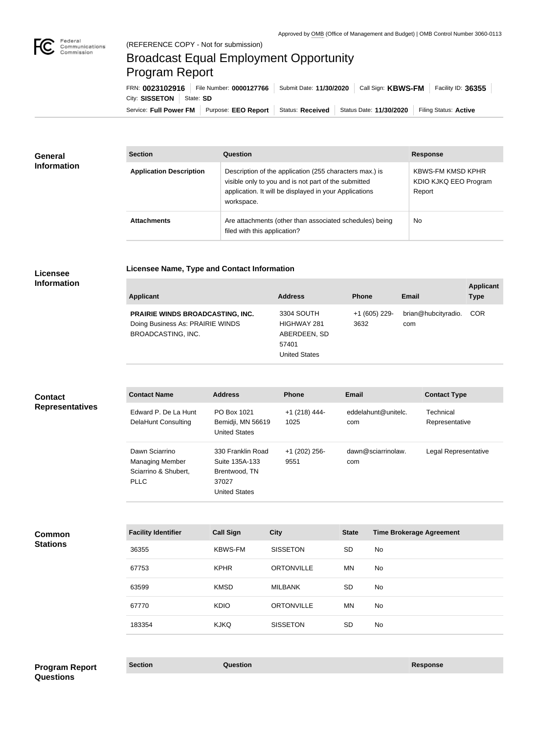

## Broadcast Equal Employment Opportunity Program Report

**Licensee Name, Type and Contact Information**

Service: Full Power FM | Purpose: EEO Report | Status: Received | Status Date: 11/30/2020 | Filing Status: Active City: **SISSETON** | State: SD FRN: **0023102916** File Number: **0000127766** Submit Date: **11/30/2020** Call Sign: **KBWS-FM** Facility ID: **36355**

| <b>General</b><br><b>Information</b> | <b>Section</b>                 | Question                                                                                                                                                                                | <b>Response</b>                                             |  |
|--------------------------------------|--------------------------------|-----------------------------------------------------------------------------------------------------------------------------------------------------------------------------------------|-------------------------------------------------------------|--|
|                                      | <b>Application Description</b> | Description of the application (255 characters max.) is<br>visible only to you and is not part of the submitted<br>application. It will be displayed in your Applications<br>workspace. | <b>KBWS-FM KMSD KPHR</b><br>KDIO KJKQ EEO Program<br>Report |  |
|                                      | <b>Attachments</b>             | Are attachments (other than associated schedules) being<br>filed with this application?                                                                                                 | No                                                          |  |

## **Licensee Information**

| <b>Applicant</b>                                                                                         | <b>Address</b>                                                             | <b>Phone</b>          | Email                      | <b>Applicant</b><br><b>Type</b> |
|----------------------------------------------------------------------------------------------------------|----------------------------------------------------------------------------|-----------------------|----------------------------|---------------------------------|
| <b>PRAIRIE WINDS BROADCASTING, INC.</b><br>Doing Business As: PRAIRIE WINDS<br><b>BROADCASTING, INC.</b> | 3304 SOUTH<br>HIGHWAY 281<br>ABERDEEN, SD<br>57401<br><b>United States</b> | +1 (605) 229-<br>3632 | brian@hubcityradio.<br>com | <b>COR</b>                      |

| <b>Contact</b>                   | <b>Contact Name</b>                                                             | <b>Address</b>                                                                        | Phone                   | <b>Email</b>               |                                 | <b>Contact Type</b>         |
|----------------------------------|---------------------------------------------------------------------------------|---------------------------------------------------------------------------------------|-------------------------|----------------------------|---------------------------------|-----------------------------|
| <b>Representatives</b>           | Edward P. De La Hunt<br><b>DelaHunt Consulting</b>                              | PO Box 1021<br>Bemidji, MN 56619<br><b>United States</b>                              | $+1$ (218) 444-<br>1025 | eddelahunt@unitelc.<br>com |                                 | Technical<br>Representative |
|                                  | Dawn Sciarrino<br><b>Managing Member</b><br>Sciarrino & Shubert,<br><b>PLLC</b> | 330 Franklin Road<br>Suite 135A-133<br>Brentwood, TN<br>37027<br><b>United States</b> | +1 (202) 256-<br>9551   | dawn@sciarrinolaw.<br>com  |                                 | Legal Representative        |
| <b>Common</b><br><b>Stations</b> | <b>Facility Identifier</b>                                                      | <b>Call Sign</b>                                                                      | <b>City</b>             | <b>State</b>               | <b>Time Brokerage Agreement</b> |                             |
|                                  | 36355                                                                           | <b>KBWS-FM</b>                                                                        | <b>SISSETON</b>         | <b>SD</b>                  | No                              |                             |
|                                  | 67753                                                                           | <b>KPHR</b>                                                                           | <b>ORTONVILLE</b>       | <b>MN</b>                  | No                              |                             |
|                                  | 63599                                                                           | <b>KMSD</b>                                                                           | <b>MILBANK</b>          | SD                         | No                              |                             |
|                                  | 67770                                                                           | <b>KDIO</b>                                                                           | <b>ORTONVILLE</b>       | <b>MN</b>                  | <b>No</b>                       |                             |
|                                  | 183354                                                                          | <b>KJKQ</b>                                                                           | <b>SISSETON</b>         | SD                         | No                              |                             |
|                                  |                                                                                 |                                                                                       |                         |                            |                                 |                             |